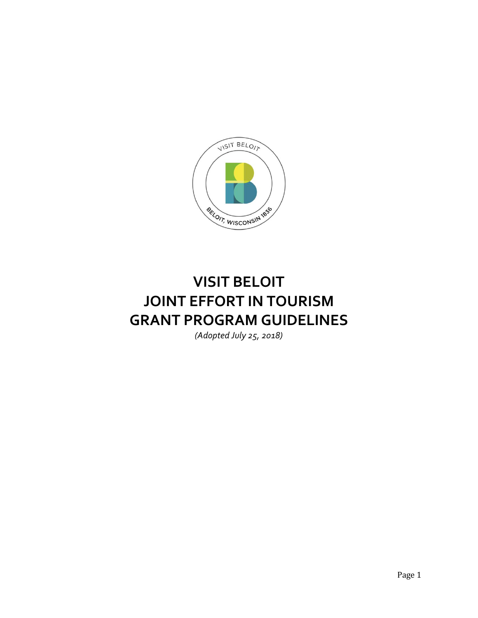

# **VISIT BELOIT JOINT EFFORT IN TOURISM GRANT PROGRAM GUIDELINES**

*(Adopted July 25, 2018)*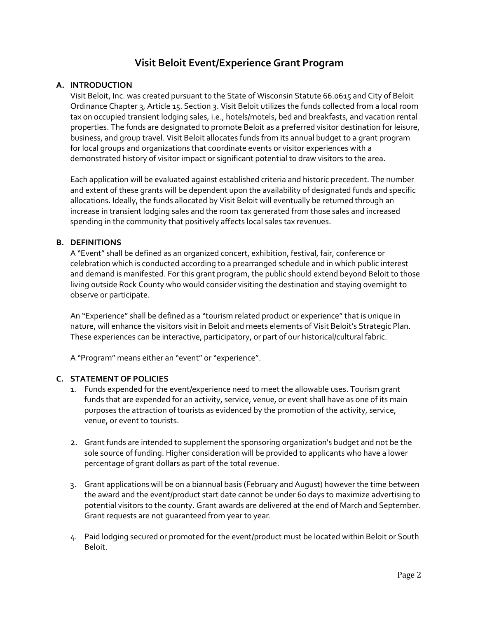# **Visit Beloit Event/Experience Grant Program**

#### **A. INTRODUCTION**

Visit Beloit, Inc. was created pursuant to the State of Wisconsin Statute 66.0615 and City of Beloit Ordinance Chapter 3, Article 15. Section 3. Visit Beloit utilizes the funds collected from a local room tax on occupied transient lodging sales, i.e., hotels/motels, bed and breakfasts, and vacation rental properties. The funds are designated to promote Beloit as a preferred visitor destination for leisure, business, and group travel. Visit Beloit allocates funds from its annual budget to a grant program for local groups and organizations that coordinate events or visitor experiences with a demonstrated history of visitor impact or significant potential to draw visitors to the area.

Each application will be evaluated against established criteria and historic precedent. The number and extent of these grants will be dependent upon the availability of designated funds and specific allocations. Ideally, the funds allocated by Visit Beloit will eventually be returned through an increase in transient lodging sales and the room tax generated from those sales and increased spending in the community that positively affects local sales tax revenues.

#### **B. DEFINITIONS**

A "Event" shall be defined as an organized concert, exhibition, festival, fair, conference or celebration which is conducted according to a prearranged schedule and in which public interest and demand is manifested. For this grant program, the public should extend beyond Beloit to those living outside Rock County who would consider visiting the destination and staying overnight to observe or participate.

An "Experience" shall be defined as a "tourism related product or experience" that is unique in nature, will enhance the visitors visit in Beloit and meets elements of Visit Beloit's Strategic Plan. These experiences can be interactive, participatory, or part of our historical/cultural fabric.

A "Program" means either an "event" or "experience".

#### **C. STATEMENT OF POLICIES**

- 1. Funds expended for the event/experience need to meet the allowable uses. Tourism grant funds that are expended for an activity, service, venue, or event shall have as one of its main purposes the attraction of tourists as evidenced by the promotion of the activity, service, venue, or event to tourists.
- 2. Grant funds are intended to supplement the sponsoring organization's budget and not be the sole source of funding. Higher consideration will be provided to applicants who have a lower percentage of grant dollars as part of the total revenue.
- 3. Grant applications will be on a biannual basis (February and August) however the time between the award and the event/product start date cannot be under 60 days to maximize advertising to potential visitors to the county. Grant awards are delivered at the end of March and September. Grant requests are not guaranteed from year to year.
- 4. Paid lodging secured or promoted for the event/product must be located within Beloit or South Beloit.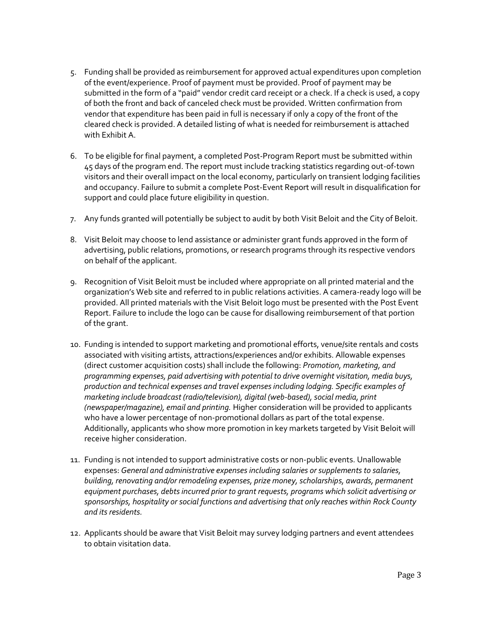- 5. Funding shall be provided as reimbursement for approved actual expenditures upon completion of the event/experience. Proof of payment must be provided. Proof of payment may be submitted in the form of a "paid" vendor credit card receipt or a check. If a check is used, a copy of both the front and back of canceled check must be provided. Written confirmation from vendor that expenditure has been paid in full is necessary if only a copy of the front of the cleared check is provided. A detailed listing of what is needed for reimbursement is attached with Exhibit A.
- 6. To be eligible for final payment, a completed Post-Program Report must be submitted within 45 days of the program end. The report must include tracking statistics regarding out-of-town visitors and their overall impact on the local economy, particularly on transient lodging facilities and occupancy. Failure to submit a complete Post-Event Report will result in disqualification for support and could place future eligibility in question.
- 7. Any funds granted will potentially be subject to audit by both Visit Beloit and the City of Beloit.
- 8. Visit Beloit may choose to lend assistance or administer grant funds approved in the form of advertising, public relations, promotions, or research programs through its respective vendors on behalf of the applicant.
- 9. Recognition of Visit Beloit must be included where appropriate on all printed material and the organization's Web site and referred to in public relations activities. A camera-ready logo will be provided. All printed materials with the Visit Beloit logo must be presented with the Post Event Report. Failure to include the logo can be cause for disallowing reimbursement of that portion of the grant.
- 10. Funding is intended to support marketing and promotional efforts, venue/site rentals and costs associated with visiting artists, attractions/experiences and/or exhibits. Allowable expenses (direct customer acquisition costs) shall include the following: *Promotion, marketing, and programming expenses, paid advertising with potential to drive overnight visitation, media buys, production and technical expenses and travel expenses including lodging. Specific examples of marketing include broadcast (radio/television), digital (web-based), social media, print (newspaper/magazine), email and printing.* Higher consideration will be provided to applicants who have a lower percentage of non-promotional dollars as part of the total expense. Additionally, applicants who show more promotion in key markets targeted by Visit Beloit will receive higher consideration.
- 11. Funding is not intended to support administrative costs or non-public events. Unallowable expenses: *General and administrative expenses including salaries or supplements to salaries, building, renovating and/or remodeling expenses, prize money, scholarships, awards, permanent equipment purchases, debts incurred prior to grant requests, programs which solicit advertising or sponsorships, hospitality or social functions and advertising that only reaches within Rock County and its residents.*
- 12. Applicants should be aware that Visit Beloit may survey lodging partners and event attendees to obtain visitation data.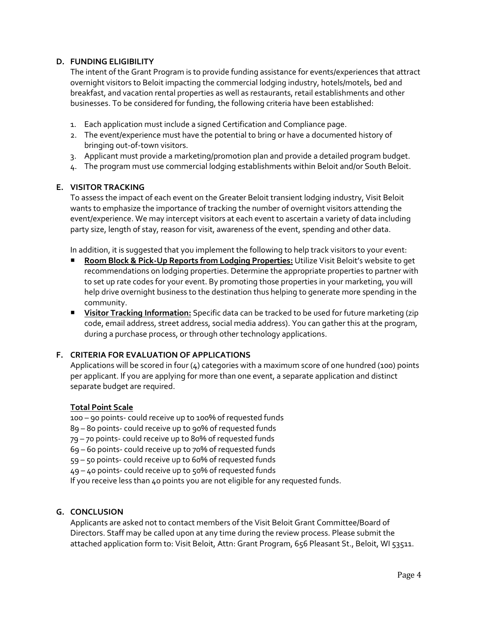#### **D. FUNDING ELIGIBILITY**

The intent of the Grant Program is to provide funding assistance for events/experiences that attract overnight visitors to Beloit impacting the commercial lodging industry, hotels/motels, bed and breakfast, and vacation rental properties as well as restaurants, retail establishments and other businesses. To be considered for funding, the following criteria have been established:

- 1. Each application must include a signed Certification and Compliance page.
- 2. The event/experience must have the potential to bring or have a documented history of bringing out-of-town visitors.
- 3. Applicant must provide a marketing/promotion plan and provide a detailed program budget.
- 4. The program must use commercial lodging establishments within Beloit and/or South Beloit.

#### **E. VISITOR TRACKING**

To assess the impact of each event on the Greater Beloit transient lodging industry, Visit Beloit wants to emphasize the importance of tracking the number of overnight visitors attending the event/experience. We may intercept visitors at each event to ascertain a variety of data including party size, length of stay, reason for visit, awareness of the event, spending and other data.

In addition, it is suggested that you implement the following to help track visitors to your event:

- **Room Block & Pick-Up Reports from Lodging Properties:** Utilize Visit Beloit's website to get recommendations on lodging properties. Determine the appropriate properties to partner with to set up rate codes for your event. By promoting those properties in your marketing, you will help drive overnight business to the destination thus helping to generate more spending in the community.
- **Visitor Tracking Information:** Specific data can be tracked to be used for future marketing (zip code, email address, street address, social media address). You can gather this at the program, during a purchase process, or through other technology applications.

#### **F. CRITERIA FOR EVALUATION OF APPLICATIONS**

Applications will be scored in four (4) categories with a maximum score of one hundred (100) points per applicant. If you are applying for more than one event, a separate application and distinct separate budget are required.

#### **Total Point Scale**

100 – 90 points- could receive up to 100% of requested funds

- 89 80 points- could receive up to 90% of requested funds
- 79 70 points- could receive up to 80% of requested funds
- 69 60 points- could receive up to 70% of requested funds
- 59 50 points- could receive up to 60% of requested funds
- 49 40 points- could receive up to 50% of requested funds

If you receive less than 40 points you are not eligible for any requested funds.

#### **G. CONCLUSION**

Applicants are asked not to contact members of the Visit Beloit Grant Committee/Board of Directors. Staff may be called upon at any time during the review process. Please submit the attached application form to: Visit Beloit, Attn: Grant Program, 656 Pleasant St., Beloit, WI 53511.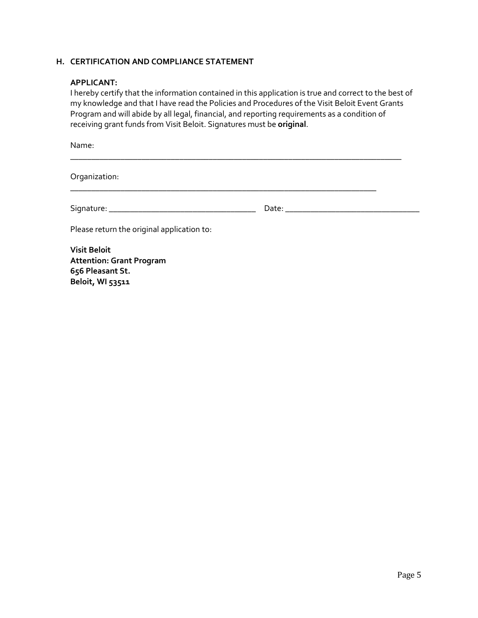#### **H. CERTIFICATION AND COMPLIANCE STATEMENT**

#### **APPLICANT:**

I hereby certify that the information contained in this application is true and correct to the best of my knowledge and that I have read the Policies and Procedures of the Visit Beloit Event Grants Program and will abide by all legal, financial, and reporting requirements as a condition of receiving grant funds from Visit Beloit. Signatures must be **original**.

\_\_\_\_\_\_\_\_\_\_\_\_\_\_\_\_\_\_\_\_\_\_\_\_\_\_\_\_\_\_\_\_\_\_\_\_\_\_\_\_\_\_\_\_\_\_\_\_\_\_\_\_\_\_\_\_\_\_\_\_\_\_\_\_\_\_\_\_\_\_\_\_\_\_\_\_\_\_\_

Name:

Organization:

Signature: \_\_\_\_\_\_\_\_\_\_\_\_\_\_\_\_\_\_\_\_\_\_\_\_\_\_\_\_\_\_\_\_\_\_\_ Date: \_\_\_\_\_\_\_\_\_\_\_\_\_\_\_\_\_\_\_\_\_\_\_\_\_\_\_\_\_\_\_\_

\_\_\_\_\_\_\_\_\_\_\_\_\_\_\_\_\_\_\_\_\_\_\_\_\_\_\_\_\_\_\_\_\_\_\_\_\_\_\_\_\_\_\_\_\_\_\_\_\_\_\_\_\_\_\_\_\_\_\_\_\_\_\_\_\_\_\_\_\_\_\_\_\_

Please return the original application to:

**Visit Beloit Attention: Grant Program 656 Pleasant St. Beloit, WI 53511**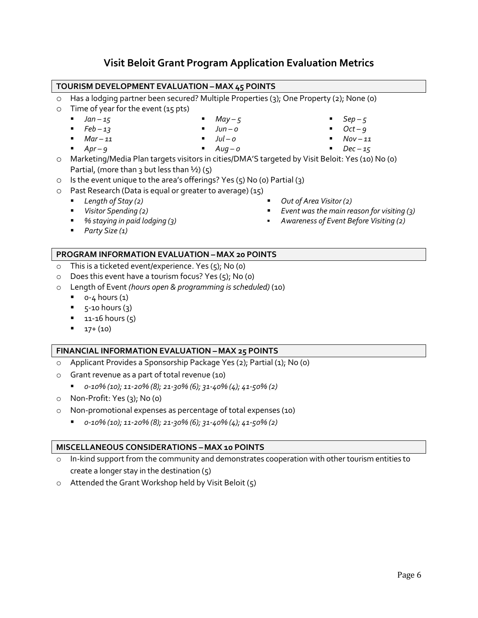# **Visit Beloit Grant Program Application Evaluation Metrics**

#### **TOURISM DEVELOPMENT EVALUATION –MAX 45 POINTS**

- o Has a lodging partner been secured? Multiple Properties (3); One Property (2); None (0)
- $\circ$  Time of year for the event (15 pts)
	- *Jan –*  $15$

 $\blacksquare$  *Apr – 9* 

▪ *May – 5*

■  $Feb - 13$ 

▪ *Jun – 0*

■  $Mar - 11$ 

- *Jul – 0*
	- *Aug – 0*
- $Sep 5$ ▪ *Oct – 9*
	- *Nov – 11*
- *Dec – 15*
- o Marketing/Media Plan targets visitors in cities/DMA'S targeted by Visit Beloit: Yes (10) No (0) Partial, (more than 3 but less than  $\frac{1}{2}$ ) (5)
- o Is the event unique to the area's offerings? Yes (5) No (0) Partial (3)
- o Past Research (Data is equal or greater to average) (15)
	- *Length of Stay (2)*
	- *Visitor Spending (2)*
	- *% staying in paid lodging (3)*
- *Out of Area Visitor (2)*
- *Event was the main reason for visiting (3)*
- *Awareness of Event Before Visiting (2)*

▪ *Party Size (1)*

### **PROGRAM INFORMATION EVALUATION –MAX 20 POINTS**

- o This is a ticketed event/experience. Yes (5); No (0)
- o Does this event have a tourism focus? Yes (5); No (0)
- o Length of Event *(hours open & programming is scheduled)* (10)
	- $0 4$  hours  $(1)$
	- $\overline{5}$  5-10 hours (3)
	- $\blacksquare$  11-16 hours (5)
	- $\blacksquare$  17+ (10)

#### **FINANCIAL INFORMATION EVALUATION –MAX 25 POINTS**

- o Applicant Provides a Sponsorship Package Yes (2); Partial (1); No (0)
- o Grant revenue as a part of total revenue (10)
	- *0-10% (10); 11-20% (8); 21-30% (6); 31-40% (4); 41-50% (2)*
- o Non-Profit: Yes (3); No (0)
- o Non-promotional expenses as percentage of total expenses (10)
	- *0-10% (10); 11-20% (8); 21-30% (6); 31-40% (4); 41-50% (2)*

#### **MISCELLANEOUS CONSIDERATIONS –MAX 10 POINTS**

- In-kind support from the community and demonstrates cooperation with other tourism entities to create a longer stay in the destination (5)
- o Attended the Grant Workshop held by Visit Beloit (5)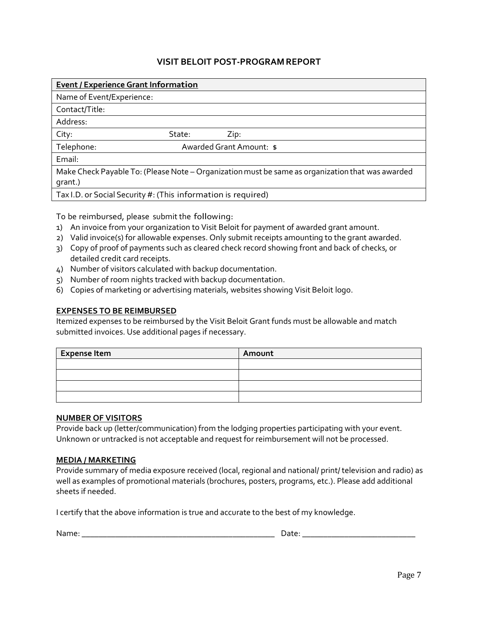## **VISIT BELOIT POST-PROGRAMREPORT**

| <b>Event / Experience Grant Information</b>                                                      |                          |      |  |  |
|--------------------------------------------------------------------------------------------------|--------------------------|------|--|--|
| Name of Event/Experience:                                                                        |                          |      |  |  |
| Contact/Title:                                                                                   |                          |      |  |  |
| Address:                                                                                         |                          |      |  |  |
| City:                                                                                            | State:                   | Zip: |  |  |
| Telephone:                                                                                       | Awarded Grant Amount: \$ |      |  |  |
| Email:                                                                                           |                          |      |  |  |
| Make Check Payable To: (Please Note – Organization must be same as organization that was awarded |                          |      |  |  |
| grant.)                                                                                          |                          |      |  |  |
| Tax I.D. or Social Security #: (This information is required)                                    |                          |      |  |  |

To be reimbursed, please submit the following:

- 1) An invoice from your organization to Visit Beloit for payment of awarded grant amount.
- 2) Valid invoice(s) for allowable expenses. Only submit receipts amounting to the grant awarded.
- 3) Copy of proof of payments such as cleared check record showing front and back of checks, or detailed credit card receipts.
- 4) Number of visitors calculated with backup documentation.
- 5) Number of room nights tracked with backup documentation.
- 6) Copies of marketing or advertising materials, websites showing Visit Beloit logo.

#### **EXPENSES TO BE REIMBURSED**

Itemized expenses to be reimbursed by the Visit Beloit Grant funds must be allowable and match submitted invoices. Use additional pages if necessary.

| <b>Expense Item</b> | Amount |
|---------------------|--------|
|                     |        |
|                     |        |
|                     |        |
|                     |        |

#### **NUMBER OF VISITORS**

Provide back up (letter/communication) from the lodging properties participating with your event. Unknown or untracked is not acceptable and request for reimbursement will not be processed.

#### **MEDIA / MARKETING**

Provide summary of media exposure received (local, regional and national/ print/ television and radio) as well as examples of promotional materials (brochures, posters, programs, etc.). Please add additional sheets if needed.

I certify that the above information is true and accurate to the best of my knowledge.

Name: \_\_\_\_\_\_\_\_\_\_\_\_\_\_\_\_\_\_\_\_\_\_\_\_\_\_\_\_\_\_\_\_\_\_\_\_\_\_\_\_\_\_\_\_\_\_ Date: \_\_\_\_\_\_\_\_\_\_\_\_\_\_\_\_\_\_\_\_\_\_\_\_\_\_\_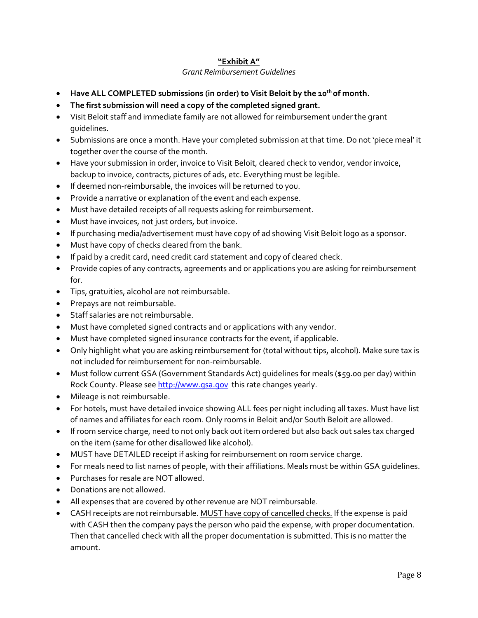#### **"Exhibit A"**

#### *Grant Reimbursement Guidelines*

- **Have ALL COMPLETED submissions (in order) to Visit Beloit by the 10th of month.**
- **The first submission will need a copy of the completed signed grant.**
- Visit Beloit staff and immediate family are not allowed for reimbursement under the grant guidelines.
- Submissions are once a month. Have your completed submission at that time. Do not 'piece meal' it together over the course of the month.
- Have your submission in order, invoice to Visit Beloit, cleared check to vendor, vendor invoice, backup to invoice, contracts, pictures of ads, etc. Everything must be legible.
- If deemed non-reimbursable, the invoices will be returned to you.
- Provide a narrative or explanation of the event and each expense.
- Must have detailed receipts of all requests asking for reimbursement.
- Must have invoices, not just orders, but invoice.
- If purchasing media/advertisement must have copy of ad showing Visit Beloit logo as a sponsor.
- Must have copy of checks cleared from the bank.
- If paid by a credit card, need credit card statement and copy of cleared check.
- Provide copies of any contracts, agreements and or applications you are asking for reimbursement for.
- Tips, gratuities, alcohol are not reimbursable.
- Prepays are not reimbursable.
- Staff salaries are not reimbursable.
- Must have completed signed contracts and or applications with any vendor.
- Must have completed signed insurance contracts for the event, if applicable.
- Only highlight what you are asking reimbursement for (total without tips, alcohol). Make sure tax is not included for reimbursement for non-reimbursable.
- Must follow current GSA (Government Standards Act) guidelines for meals (\$59.00 per day) within Rock County. Please se[e http://www.gsa.gov](http://www.gsa.gov/) this rate changes yearly.
- Mileage is not reimbursable.
- For hotels, must have detailed invoice showing ALL fees per night including all taxes. Must have list of names and affiliates for each room. Only rooms in Beloit and/or South Beloit are allowed.
- If room service charge, need to not only back out item ordered but also back out sales tax charged on the item (same for other disallowed like alcohol).
- MUST have DETAILED receipt if asking for reimbursement on room service charge.
- For meals need to list names of people, with their affiliations. Meals must be within GSA guidelines.
- Purchases for resale are NOT allowed.
- Donations are not allowed.
- All expenses that are covered by other revenue are NOT reimbursable.
- CASH receipts are not reimbursable. MUST have copy of cancelled checks. If the expense is paid with CASH then the company pays the person who paid the expense, with proper documentation. Then that cancelled check with all the proper documentation is submitted. This is no matter the amount.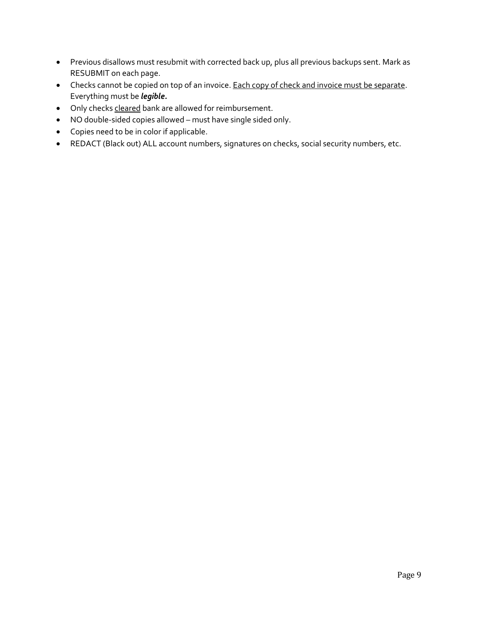- Previous disallows must resubmit with corrected back up, plus all previous backups sent. Mark as RESUBMIT on each page.
- Checks cannot be copied on top of an invoice. Each copy of check and invoice must be separate. Everything must be *legible.*
- Only checks cleared bank are allowed for reimbursement.
- NO double-sided copies allowed must have single sided only.
- Copies need to be in color if applicable.
- REDACT (Black out) ALL account numbers, signatures on checks, social security numbers, etc.